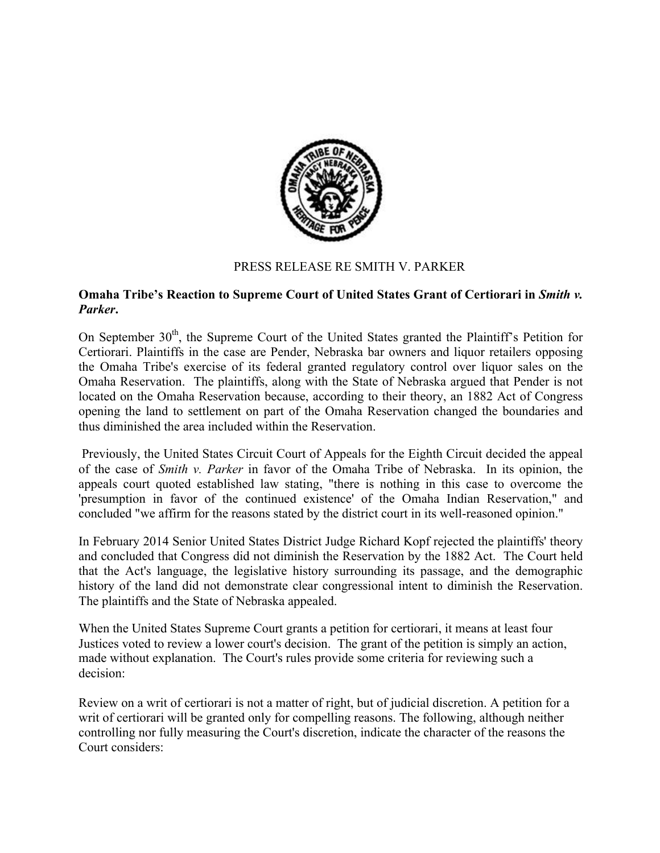

## PRESS RELEASE RE SMITH V. PARKER

## **Omaha Tribe's Reaction to Supreme Court of United States Grant of Certiorari in** *Smith v. Parker***.**

On September 30<sup>th</sup>, the Supreme Court of the United States granted the Plaintiff's Petition for Certiorari. Plaintiffs in the case are Pender, Nebraska bar owners and liquor retailers opposing the Omaha Tribe's exercise of its federal granted regulatory control over liquor sales on the Omaha Reservation. The plaintiffs, along with the State of Nebraska argued that Pender is not located on the Omaha Reservation because, according to their theory, an 1882 Act of Congress opening the land to settlement on part of the Omaha Reservation changed the boundaries and thus diminished the area included within the Reservation.

Previously, the United States Circuit Court of Appeals for the Eighth Circuit decided the appeal of the case of *Smith v. Parker* in favor of the Omaha Tribe of Nebraska. In its opinion, the appeals court quoted established law stating, "there is nothing in this case to overcome the 'presumption in favor of the continued existence' of the Omaha Indian Reservation," and concluded "we affirm for the reasons stated by the district court in its well-reasoned opinion."

In February 2014 Senior United States District Judge Richard Kopf rejected the plaintiffs' theory and concluded that Congress did not diminish the Reservation by the 1882 Act. The Court held that the Act's language, the legislative history surrounding its passage, and the demographic history of the land did not demonstrate clear congressional intent to diminish the Reservation. The plaintiffs and the State of Nebraska appealed.

When the United States Supreme Court grants a petition for certiorari, it means at least four Justices voted to review a lower court's decision. The grant of the petition is simply an action, made without explanation. The Court's rules provide some criteria for reviewing such a decision:

Review on a writ of certiorari is not a matter of right, but of judicial discretion. A petition for a writ of certiorari will be granted only for compelling reasons. The following, although neither controlling nor fully measuring the Court's discretion, indicate the character of the reasons the Court considers: